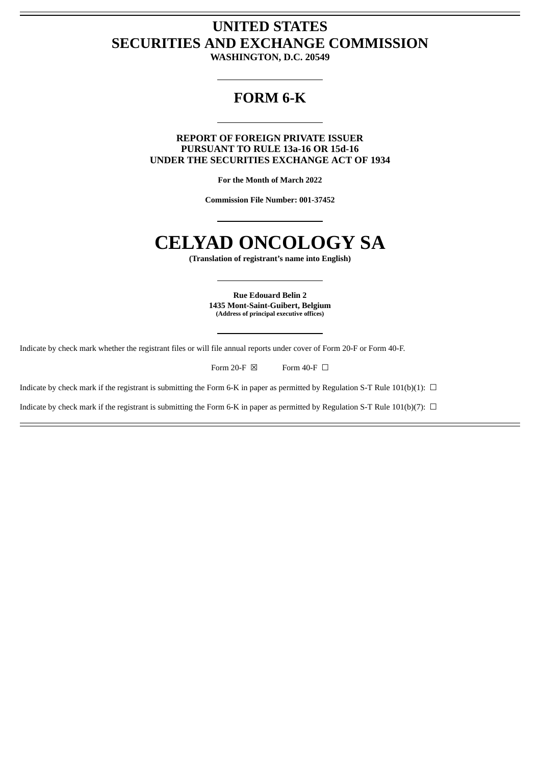## **UNITED STATES SECURITIES AND EXCHANGE COMMISSION**

**WASHINGTON, D.C. 20549**

### **FORM 6-K**

**REPORT OF FOREIGN PRIVATE ISSUER PURSUANT TO RULE 13a-16 OR 15d-16 UNDER THE SECURITIES EXCHANGE ACT OF 1934**

**For the Month of March 2022**

**Commission File Number: 001-37452**

# **CELYAD ONCOLOGY SA**

**(Translation of registrant's name into English)**

**Rue Edouard Belin 2 1435 Mont-Saint-Guibert, Belgium (Address of principal executive offices)**

Indicate by check mark whether the registrant files or will file annual reports under cover of Form 20-F or Form 40-F.

Form 20-F  $\boxtimes$  Form 40-F  $\Box$ 

Indicate by check mark if the registrant is submitting the Form 6-K in paper as permitted by Regulation S-T Rule 101(b)(1):  $\Box$ 

Indicate by check mark if the registrant is submitting the Form 6-K in paper as permitted by Regulation S-T Rule 101(b)(7):  $\Box$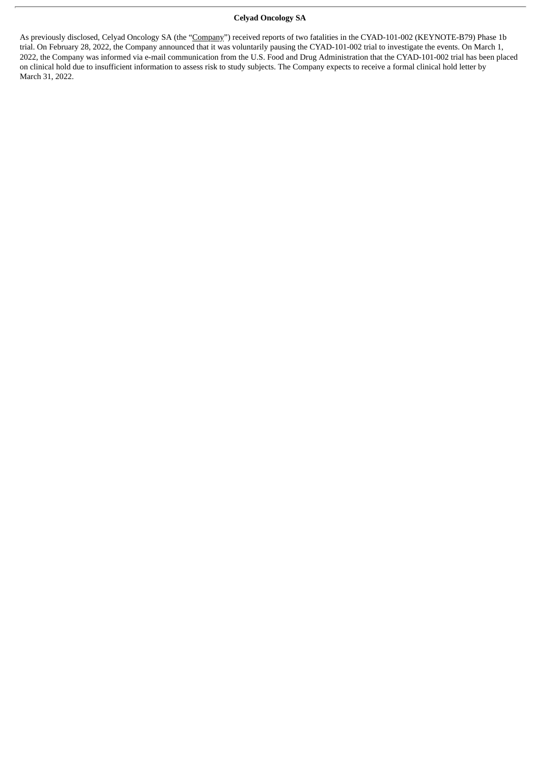#### **Celyad Oncology SA**

As previously disclosed, Celyad Oncology SA (the "Company") received reports of two fatalities in the CYAD-101-002 (KEYNOTE-B79) Phase 1b trial. On February 28, 2022, the Company announced that it was voluntarily pausing the CYAD-101-002 trial to investigate the events. On March 1, 2022, the Company was informed via e-mail communication from the U.S. Food and Drug Administration that the CYAD-101-002 trial has been placed on clinical hold due to insufficient information to assess risk to study subjects. The Company expects to receive a formal clinical hold letter by March 31, 2022.